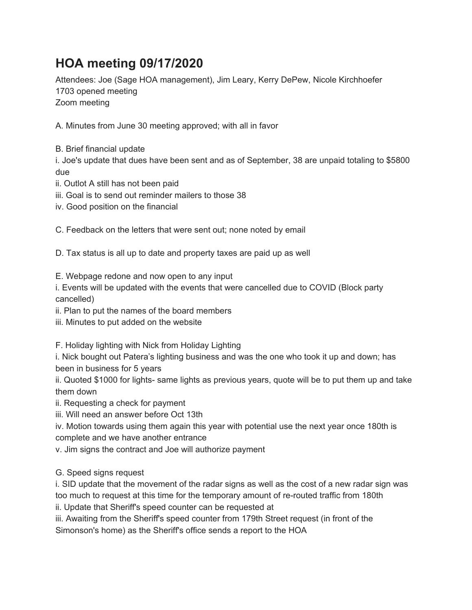## **HOA meeting 09/17/2020**

Attendees: Joe (Sage HOA management), Jim Leary, Kerry DePew, Nicole Kirchhoefer 1703 opened meeting Zoom meeting

A. Minutes from June 30 meeting approved; with all in favor

B. Brief financial update

i. Joe's update that dues have been sent and as of September, 38 are unpaid totaling to \$5800 due

ii. Outlot A still has not been paid

iii. Goal is to send out reminder mailers to those 38

iv. Good position on the financial

C. Feedback on the letters that were sent out; none noted by email

D. Tax status is all up to date and property taxes are paid up as well

E. Webpage redone and now open to any input

i. Events will be updated with the events that were cancelled due to COVID (Block party cancelled)

ii. Plan to put the names of the board members

iii. Minutes to put added on the website

F. Holiday lighting with Nick from Holiday Lighting

i. Nick bought out Patera's lighting business and was the one who took it up and down; has been in business for 5 years

ii. Quoted \$1000 for lights- same lights as previous years, quote will be to put them up and take them down

ii. Requesting a check for payment

iii. Will need an answer before Oct 13th

iv. Motion towards using them again this year with potential use the next year once 180th is complete and we have another entrance

v. Jim signs the contract and Joe will authorize payment

G. Speed signs request

i. SID update that the movement of the radar signs as well as the cost of a new radar sign was too much to request at this time for the temporary amount of re-routed traffic from 180th ii. Update that Sheriff's speed counter can be requested at

iii. Awaiting from the Sheriff's speed counter from 179th Street request (in front of the Simonson's home) as the Sheriff's office sends a report to the HOA